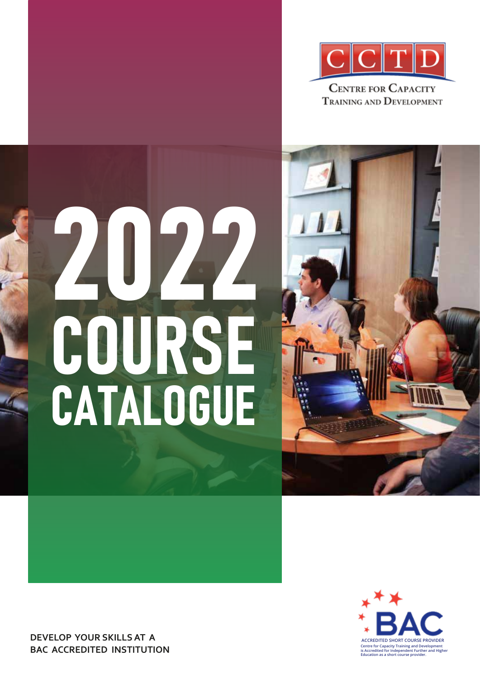

# 2022 COURSE CATALOGUE





**DEVELOP YOUR SKILLS AT A BAC ACCREDITED INSTITUTION**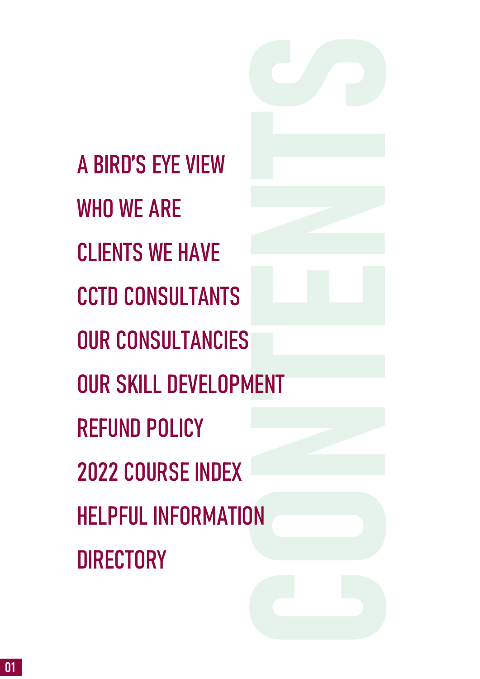**Contents** CONTENTS [A BIRD'S EYE VIEW](#page-2-0) [WHO WE ARE](#page-3-0) [CLIENTS WE HAVE](#page-6-0)  [CCTD CONSULTANTS](#page-7-0)  [OUR CONSULTANCIES](#page-8-0)  OUR SKILL DEVELOPMENT [REFUND POLICY](#page-9-0)  [2022 COURSE INDEX](#page-10-0)  [HELPFUL INFORMATION](#page-14-0) **DIRECTORY**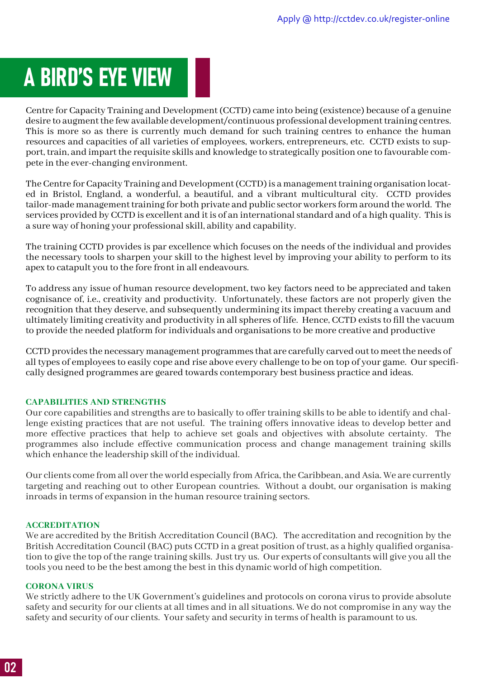### <span id="page-2-0"></span>A BIRD'S EYE VIEW

Centre for Capacity Training and Development (CCTD) came into being (existence) because of a genuine desire to augment the few available development/continuous professional development training centres. This is more so as there is currently much demand for such training centres to enhance the human resources and capacities of all varieties of employees, workers, entrepreneurs, etc. CCTD exists to support, train, and impart the requisite skills and knowledge to strategically position one to favourable compete in the ever-changing environment.

The Centre for Capacity Training and Development (CCTD) is a management training organisation located in Bristol, England, a wonderful, a beautiful, and a vibrant multicultural city. CCTD provides tailor-made management training for both private and public sector workers form around the world. The services provided by CCTD is excellent and it is of an international standard and of a high quality. This is a sure way of honing your professional skill, ability and capability.

The training CCTD provides is par excellence which focuses on the needs of the individual and provides the necessary tools to sharpen your skill to the highest level by improving your ability to perform to its apex to catapult you to the fore front in all endeavours.

To address any issue of human resource development, two key factors need to be appreciated and taken cognisance of, i.e., creativity and productivity. Unfortunately, these factors are not properly given the recognition that they deserve, and subsequently undermining its impact thereby creating a vacuum and ultimately limiting creativity and productivity in all spheres of life. Hence, CCTD exists to fill the vacuum to provide the needed platform for individuals and organisations to be more creative and productive

CCTD provides the necessary management programmes that are carefully carved out to meet the needs of all types of employees to easily cope and rise above every challenge to be on top of your game. Our specifically designed programmes are geared towards contemporary best business practice and ideas.

#### **CAPABILITIES AND STRENGTHS**

Our core capabilities and strengths are to basically to offer training skills to be able to identify and challenge existing practices that are not useful. The training offers innovative ideas to develop better and more effective practices that help to achieve set goals and objectives with absolute certainty. The programmes also include effective communication process and change management training skills which enhance the leadership skill of the individual.

Our clients come from all over the world especially from Africa, the Caribbean, and Asia. We are currently targeting and reaching out to other European countries. Without a doubt, our organisation is making inroads in terms of expansion in the human resource training sectors.

#### **ACCREDITATION**

We are accredited by the British Accreditation Council (BAC). The accreditation and recognition by the British Accreditation Council (BAC) puts CCTD in a great position of trust, as a highly qualified organisation to give the top of the range training skills. Just try us. Our experts of consultants will give you all the tools you need to be the best among the best in this dynamic world of high competition.

#### **CORONA VIRUS**

We strictly adhere to the UK Government's guidelines and protocols on corona virus to provide absolute safety and security for our clients at all times and in all situations. We do not compromise in any way the safety and security of our clients. Your safety and security in terms of health is paramount to us.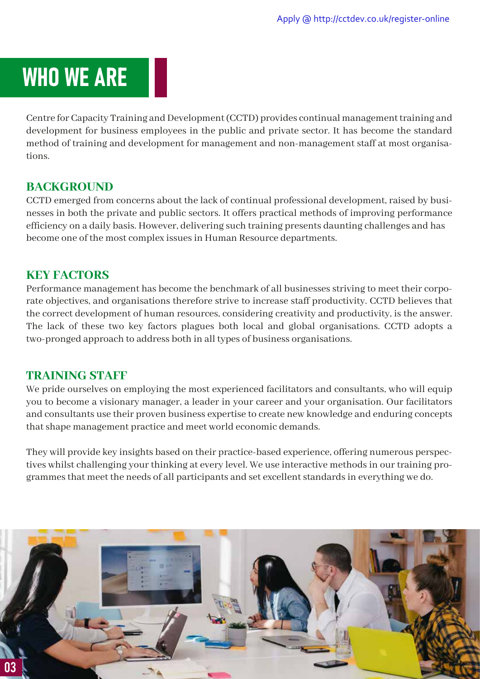### <span id="page-3-0"></span>WHO WE ARE

Centre for Capacity Training and Development (CCTD) provides continual management training and development for business employees in the public and private sector. It has become the standard method of training and development for management and non-management staff at most organisations.

#### **BACKGROUND**

CCTD emerged from concerns about the lack of continual professional development, raised by businesses in both the private and public sectors. It offers practical methods of improving performance efficiency on a daily basis. However, delivering such training presents daunting challenges and has become one of the most complex issues in Human Resource departments.

#### **KEY FACTORS**

Performance management has become the benchmark of all businesses striving to meet their corporate objectives, and organisations therefore strive to increase staff productivity. CCTD believes that the correct development of human resources, considering creativity and productivity, is the answer. The lack of these two key factors plagues both local and global organisations. CCTD adopts a two-pronged approach to address both in all types of business organisations.

#### **TRAINING STAFF**

We pride ourselves on employing the most experienced facilitators and consultants, who will equip you to become a visionary manager, a leader in your career and your organisation. Our facilitators and consultants use their proven business expertise to create new knowledge and enduring concepts that shape management practice and meet world economic demands.

They will provide key insights based on their practice-based experience, offering numerous perspectives whilst challenging your thinking at every level. We use interactive methods in our training programmes that meet the needs of all participants and set excellent standards in everything we do.

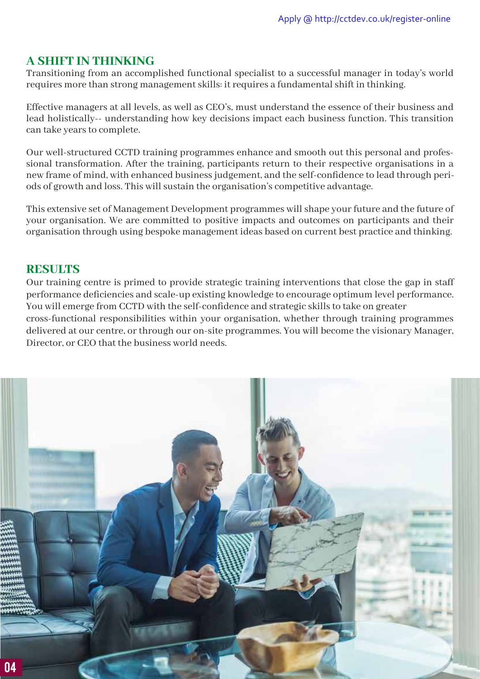#### **A SHIFT IN THINKING**

Transitioning from an accomplished functional specialist to a successful manager in today's world requires more than strong management skills: it requires a fundamental shift in thinking.

Effective managers at all levels, as well as CEO's, must understand the essence of their business and lead holistically-- understanding how key decisions impact each business function. This transition can take years to complete.

Our well-structured CCTD training programmes enhance and smooth out this personal and professional transformation. After the training, participants return to their respective organisations in a new frame of mind, with enhanced business judgement, and the self-confidence to lead through periods of growth and loss. This will sustain the organisation's competitive advantage.

This extensive set of Management Development programmes will shape your future and the future of your organisation. We are committed to positive impacts and outcomes on participants and their organisation through using bespoke management ideas based on current best practice and thinking.

#### **RESULTS**

Our training centre is primed to provide strategic training interventions that close the gap in staff performance deficiencies and scale-up existing knowledge to encourage optimum level performance. You will emerge from CCTD with the self-confidence and strategic skills to take on greater cross-functional responsibilities within your organisation, whether through training programmes delivered at our centre, or through our on-site programmes. You will become the visionary Manager, Director, or CEO that the business world needs.

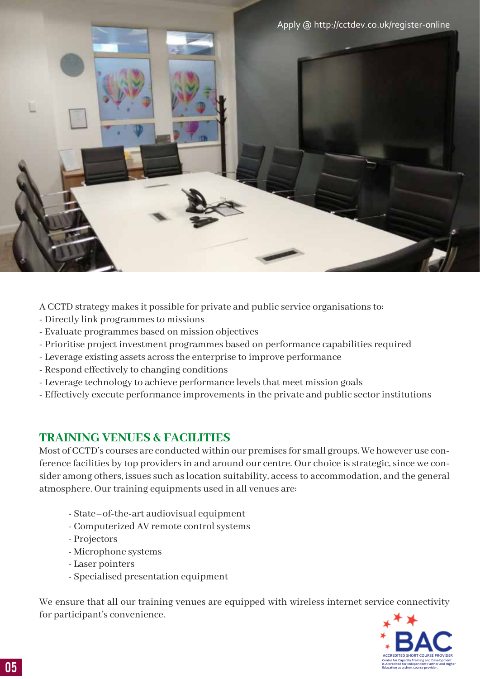

A CCTD strategy makes it possible for private and public service organisations to:

- Directly link programmes to missions
- Evaluate programmes based on mission objectives
- Prioritise project investment programmes based on performance capabilities required
- Leverage existing assets across the enterprise to improve performance
- Respond effectively to changing conditions
- Leverage technology to achieve performance levels that meet mission goals
- Effectively execute performance improvements in the private and public sector institutions

#### **TRAINING VENUES & FACILITIES**

Most of CCTD's courses are conducted within our premises for small groups. We however use conference facilities by top providers in and around our centre. Our choice is strategic, since we consider among others, issues such as location suitability, access to accommodation, and the general atmosphere. Our training equipments used in all venues are:

- State–of-the-art audiovisual equipment
- Computerized AV remote control systems
- Projectors
- Microphone systems
- Laser pointers
- Specialised presentation equipment

We ensure that all our training venues are equipped with wireless internet service connectivity for participant's convenience.

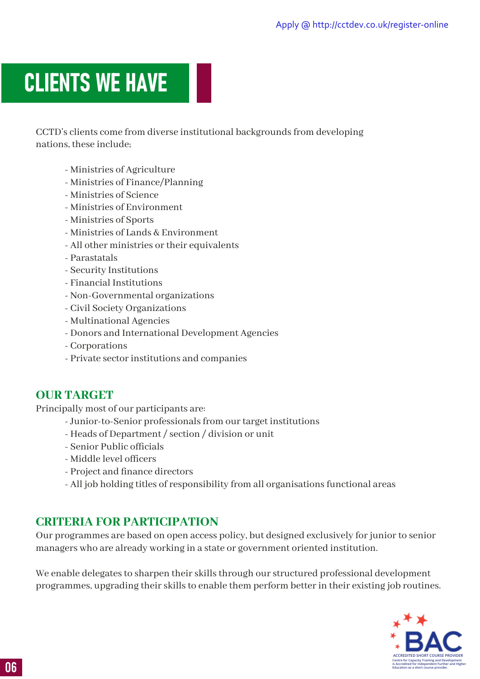### <span id="page-6-0"></span>CLIENTS WE HAVE

CCTD's clients come from diverse institutional backgrounds from developing nations, these include;

- Ministries of Agriculture
- Ministries of Finance/Planning
- Ministries of Science
- Ministries of Environment
- Ministries of Sports
- Ministries of Lands & Environment
- All other ministries or their equivalents
- Parastatals
- Security Institutions
- Financial Institutions
- Non-Governmental organizations
- Civil Society Organizations
- Multinational Agencies
- Donors and International Development Agencies
- Corporations
- Private sector institutions and companies

#### **OUR TARGET**

Principally most of our participants are:

- Junior-to-Senior professionals from our target institutions
- Heads of Department / section / division or unit
- Senior Public officials
- Middle level officers
- Project and finance directors
- All job holding titles of responsibility from all organisations functional areas

#### **CRITERIA FOR PARTICIPATION**

Our programmes are based on open access policy, but designed exclusively for junior to senior managers who are already working in a state or government oriented institution.

We enable delegates to sharpen their skills through our structured professional development programmes, upgrading their skills to enable them perform better in their existing job routines.

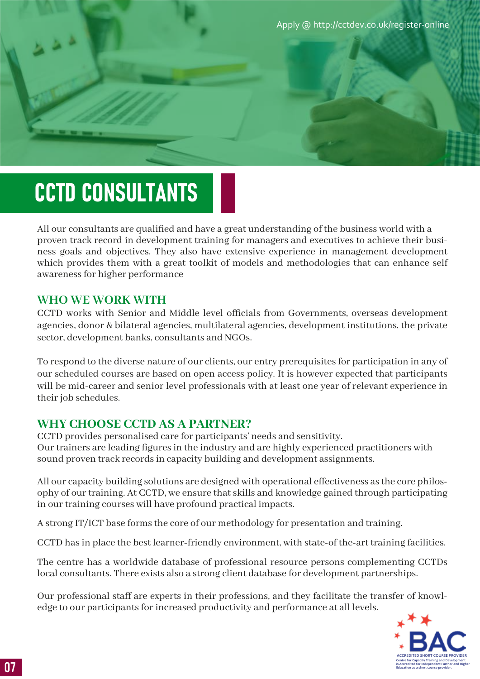Apply @ <http://cctdev.co.uk/register-online>

### <span id="page-7-0"></span>CCTD CONSULTANTS

All our consultants are qualified and have a great understanding of the business world with a proven track record in development training for managers and executives to achieve their business goals and objectives. They also have extensive experience in management development which provides them with a great toolkit of models and methodologies that can enhance self awareness for higher performance

#### **WHO WE WORK WITH**

CCTD works with Senior and Middle level officials from Governments, overseas development agencies, donor & bilateral agencies, multilateral agencies, development institutions, the private sector, development banks, consultants and NGOs.

To respond to the diverse nature of our clients, our entry prerequisites for participation in any of our scheduled courses are based on open access policy. It is however expected that participants will be mid-career and senior level professionals with at least one year of relevant experience in their job schedules.

#### **WHY CHOOSE CCTD AS A PARTNER?**

CCTD provides personalised care for participants' needs and sensitivity. Our trainers are leading figures in the industry and are highly experienced practitioners with sound proven track records in capacity building and development assignments.

All our capacity building solutions are designed with operational effectiveness as the core philosophy of our training. At CCTD, we ensure that skills and knowledge gained through participating in our training courses will have profound practical impacts.

A strong IT/ICT base forms the core of our methodology for presentation and training.

CCTD has in place the best learner-friendly environment, with state-of the-art training facilities.

The centre has a worldwide database of professional resource persons complementing CCTDs local consultants. There exists also a strong client database for development partnerships.

Our professional staff are experts in their professions, and they facilitate the transfer of knowledge to our participants for increased productivity and performance at all levels.

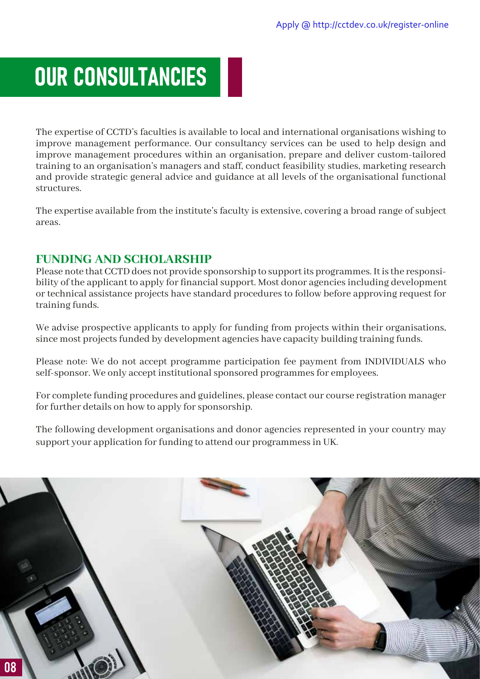### <span id="page-8-0"></span>OUR CONSULTANCIES

The expertise of CCTD's faculties is available to local and international organisations wishing to improve management performance. Our consultancy services can be used to help design and improve management procedures within an organisation, prepare and deliver custom-tailored training to an organisation's managers and staff, conduct feasibility studies, marketing research and provide strategic general advice and guidance at all levels of the organisational functional structures.

The expertise available from the institute's faculty is extensive, covering a broad range of subject areas.

#### **FUNDING AND SCHOLARSHIP**

Please note that CCTD does not provide sponsorship to support its programmes. It is the responsibility of the applicant to apply for financial support. Most donor agencies including development or technical assistance projects have standard procedures to follow before approving request for training funds.

We advise prospective applicants to apply for funding from projects within their organisations, since most projects funded by development agencies have capacity building training funds.

Please note: We do not accept programme participation fee payment from INDIVIDUALS who self-sponsor. We only accept institutional sponsored programmes for employees.

For complete funding procedures and guidelines, please contact our course registration manager for further details on how to apply for sponsorship.

The following development organisations and donor agencies represented in your country may support your application for funding to attend our programmess in UK.

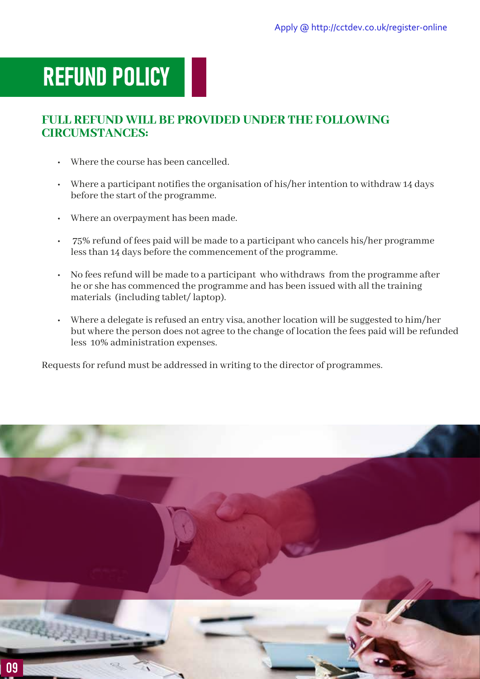### <span id="page-9-0"></span>REFUND POLICY

#### **FULL REFUND WILL BE PROVIDED UNDER THE FOLLOWING CIRCUMSTANCES:**

- Where the course has been cancelled.
- $\cdot$  Where a participant notifies the organisation of his/her intention to withdraw 14 days before the start of the programme.
- Where an overpayment has been made.
- 75% refund of fees paid will be made to a participant who cancels his/her programme less than 14 days before the commencement of the programme.
- No fees refund will be made to a participant who withdraws from the programme after he or she has commenced the programme and has been issued with all the training materials (including tablet/ laptop).
- Where a delegate is refused an entry visa, another location will be suggested to him/her but where the person does not agree to the change of location the fees paid will be refunded less 10% administration expenses.

Requests for refund must be addressed in writing to the director of programmes.

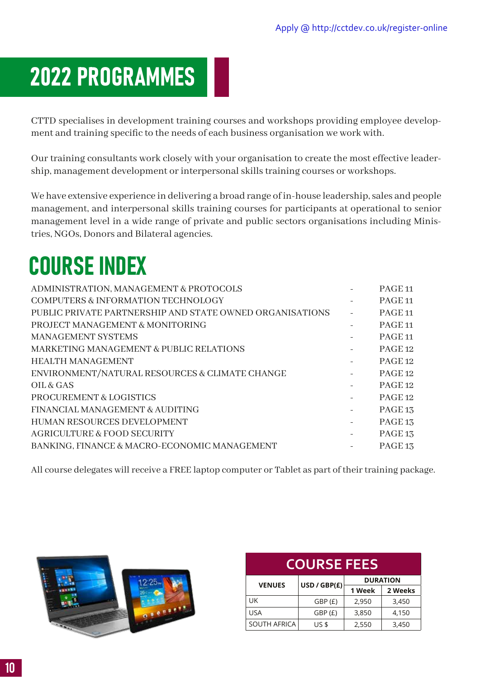### <span id="page-10-0"></span>2022 PROGRAMMES

CTTD specialises in development training courses and workshops providing employee development and training specific to the needs of each business organisation we work with.

Our training consultants work closely with your organisation to create the most effective leadership, management development or interpersonal skills training courses or workshops.

We have extensive experience in delivering a broad range of in-house leadership, sales and people management, and interpersonal skills training courses for participants at operational to senior management level in a wide range of private and public sectors organisations including Ministries, NGOs, Donors and Bilateral agencies.

### COURSE INDEX

| ADMINISTRATION, MANAGEMENT & PROTOCOLS                   |                          | PAGE <sub>11</sub> |
|----------------------------------------------------------|--------------------------|--------------------|
| <b>COMPUTERS &amp; INFORMATION TECHNOLOGY</b>            |                          | PAGE <sub>11</sub> |
| PUBLIC PRIVATE PARTNERSHIP AND STATE OWNED ORGANISATIONS | $\bar{a}$                | PAGE <sub>11</sub> |
| PROJECT MANAGEMENT & MONITORING                          |                          | PAGE <sub>11</sub> |
| <b>MANAGEMENT SYSTEMS</b>                                | $\overline{\phantom{a}}$ | PAGE <sub>11</sub> |
| MARKETING MANAGEMENT & PUBLIC RELATIONS                  | $\overline{\phantom{a}}$ | PAGE <sub>12</sub> |
| <b>HEALTH MANAGEMENT</b>                                 | $\overline{\phantom{a}}$ | PAGE 12            |
| ENVIRONMENT/NATURAL RESOURCES & CLIMATE CHANGE           | $\overline{\phantom{a}}$ | PAGE <sub>12</sub> |
| OIL & GAS                                                |                          | PAGE <sub>12</sub> |
| <b>PROCUREMENT &amp; LOGISTICS</b>                       | $\overline{\phantom{a}}$ | PAGE 12            |
| FINANCIAL MANAGEMENT & AUDITING                          | $\overline{\phantom{a}}$ | PAGE <sub>13</sub> |
| <b>HUMAN RESOURCES DEVELOPMENT</b>                       | $\equiv$                 | PAGE <sub>13</sub> |
| AGRICULTURE & FOOD SECURITY                              | $\overline{\phantom{a}}$ | PAGE <sub>13</sub> |
| BANKING, FINANCE & MACRO-ECONOMIC MANAGEMENT             |                          | PAGE <sub>13</sub> |

All course delegates will receive a FREE laptop computer or Tablet as part of their training package.



| <b>COURSE FEES</b>  |              |        |                 |  |  |  |
|---------------------|--------------|--------|-----------------|--|--|--|
| <b>VENUES</b>       | USD / GBP(E) |        | <b>DURATION</b> |  |  |  |
|                     |              | 1 Week | 2 Weeks         |  |  |  |
| UK                  | GBP(E)       | 2,950  | 3,450           |  |  |  |
| USA                 | GBP(E)       | 3,850  | 4,150           |  |  |  |
| <b>SOUTH AFRICA</b> | <b>US \$</b> | 2,550  | 3,450           |  |  |  |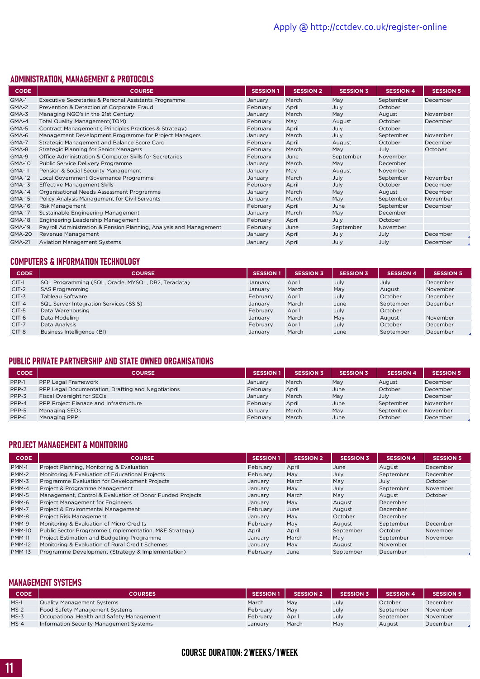#### ADMINISTRATION, MANAGEMENT & PROTOCOLS

| <b>CODE</b>   | <b>COURSE</b>                                                      | <b>SESSION 1</b> | <b>SESSION 2</b> | <b>SESSION 3</b> | <b>SESSION 4</b> | <b>SESSION 5</b> |
|---------------|--------------------------------------------------------------------|------------------|------------------|------------------|------------------|------------------|
| GMA-1         | Executive Secretaries & Personal Assistants Programme              | January          | March            | May              | September        | December         |
| GMA-2         | Prevention & Detection of Corporate Fraud                          | February         | April            | July             | October          |                  |
| GMA-3         | Managing NGO's in the 21st Century                                 | January          | March            | May              | August           | November         |
| GMA-4         | Total Quality Management (TQM)                                     | February         | May              | August           | October          | December         |
| GMA-5         | Contract Management (Principles Practices & Strategy)              | February         | April            | July             | October          |                  |
| GMA-6         | Management Development Programme for Project Managers              | January          | March            | July             | September        | November         |
| GMA-7         | Strategic Management and Balance Score Card                        | February         | April            | August           | October          | December         |
| GMA-8         | Strategic Planning for Senior Managers                             | February         | March            | May              | July             | October          |
| GMA-9         | Office Administration & Computer Skills for Secretaries            | February         | June             | September        | November         |                  |
| <b>GMA-10</b> | Public Service Delivery Programme                                  | January          | March            | May              | December         |                  |
| <b>GMA-11</b> | Pension & Social Security Management                               | January          | May              | August           | November         |                  |
| <b>GMA-12</b> | Local Government Governance Programme                              | January          | March            | July             | September        | November         |
| <b>GMA-13</b> | <b>Effective Management Skills</b>                                 | February         | April            | July             | October          | December         |
| <b>GMA-14</b> | Organisational Needs Assessment Programme                          | January          | March            | May              | August           | December         |
| <b>GMA-15</b> | Policy Analysis Management for Civil Servants                      | January          | March            | May              | September        | November         |
| <b>GMA-16</b> | Risk Management                                                    | February         | April            | June             | September        | December         |
| <b>GMA-17</b> | Sustainable Engineering Management                                 | January          | March            | May              | December         |                  |
| <b>GMA-18</b> | Engineering Leadership Management                                  | February         | April            | July             | October          |                  |
| <b>GMA-19</b> | Payroll Administration & Pension Planning, Analysis and Management | February         | June             | September        | November         |                  |
| <b>GMA-20</b> | Revenue Management                                                 | January          | April            | July             | July             | December         |
| <b>GMA-21</b> | <b>Aviation Management Systems</b>                                 | January          | April            | July             | July             | December         |

#### COMPUTERS & INFORMATION TECHNOLOGY

| <b>CODE</b> | <b>COURSE</b>                                       | <b>SESSION 1</b> | <b>SESSION 3</b> | <b>SESSION 3</b> | <b>SESSION 4</b> | <b>SESSION 5</b> |
|-------------|-----------------------------------------------------|------------------|------------------|------------------|------------------|------------------|
| $CIT-1$     | SQL Programming (SQL, Oracle, MYSQL, DB2, Teradata) | January          | April            | July             | July             | December         |
| $CIT-2$     | <b>SAS Programming</b>                              | January          | March            | May              | August           | November         |
| $CIT-3$     | Tableau Software                                    | February         | April            | July             | October          | December         |
| $CIT-4$     | SQL Server Integration Services (SSIS)              | January          | March            | June             | September        | December         |
| $CIT-5$     | Data Warehousing                                    | February         | April            | July             | October          |                  |
| $CIT-6$     | Data Modeling                                       | January          | March            | May              | August           | November         |
| $CIT-7$     | Data Analysis                                       | February         | April            | July             | October          | December         |
| CIT-8       | Business Intelligence (BI)                          | January          | March            | June             | September        | December         |

#### PUBLIC PRIVATE PARTNERSHIP AND STATE OWNED ORGANISATIONS

| <b>CODE</b> | <b>COURSE</b>                                      | <b>SESSION 1</b> | <b>SESSION 3</b> | <b>SESSION 3</b> | <b>SESSION 4</b> | <b>SESSION 5</b> |
|-------------|----------------------------------------------------|------------------|------------------|------------------|------------------|------------------|
| PPP-1       | PPP Legal Framework                                | January          | March            | May              | August           | December         |
| PPP-2       | PPP Legal Documentation, Drafting and Negotiations | February         | April            | June             | October          | December         |
| PPP-3       | Fiscal Oversight for SEOs                          | January          | March            | May              | July             | December         |
| PPP-4       | PPP Project Fianace and Infrastructure             | February         | April            | June             | September        | November         |
| PPP-5       | Managing SEOs                                      | January          | March            | May              | September        | November         |
| PPP-6       | Managing PPP                                       | February         | March            | June             | October          | December         |

#### PROJECT MANAGEMENT & MONITORING

| <b>CODE</b>   | <b>COURSE</b>                                             | <b>SESSION 1</b> | <b>SESSION 2</b> | <b>SESSION 3</b> | <b>SESSION 4</b> | <b>SESSION 5</b> |
|---------------|-----------------------------------------------------------|------------------|------------------|------------------|------------------|------------------|
| PMM-1         | Project Planning, Monitoring & Evaluation                 | February         | April            | June             | August           | December         |
| PMM-2         | Monitoring & Evaluation of Educational Projects           | February         | May              | July             | September        | December         |
| PMM-3         | Programme Evaluation for Development Projects             | January          | March            | May              | July             | October          |
| PMM-4         | Project & Programme Management                            | January          | May              | July             | September        | November         |
| PMM-5         | Management, Control & Evaluation of Donor Funded Projects | January          | March            | May              | August           | October          |
| PMM-6         | <b>Project Management for Engineers</b>                   | January          | May              | August           | December         |                  |
| PMM-7         | Project & Environmental Management                        | February         | June             | August           | December         |                  |
| PMM-8         | Project Risk Management                                   | January          | May              | October          | December         |                  |
| PMM-9         | Monitoring & Evaluation of Micro-Credits                  | February         | May              | August           | September        | December         |
| <b>PMM-10</b> | Public Sector Programme (Implementation, M&E Strategy)    | April            | April            | September        | October          | November         |
| <b>PMM-11</b> | Project Estimation and Budgeting Programme                | January          | March            | May              | September        | November         |
| <b>PMM-12</b> | Monitoring & Evaluation of Rural Credit Schemes           | January          | May              | August           | November         |                  |
| <b>PMM-13</b> | Programme Development (Strategy & Implementation)         | February         | June             | September        | December         |                  |

#### MANAGEMENT SYSTEMS

| <b>CODE</b> | <b>COURSES</b>                            | <b>SESSION 1</b> | <b>SESSION 2</b> | <b>SESSION 3</b> | <b>SESSION 4</b> | <b>SESSION 5</b> |
|-------------|-------------------------------------------|------------------|------------------|------------------|------------------|------------------|
| $MS-1$      | <b>Quality Management Systems</b>         | March            | May              | July             | October          | December         |
| $MS-2$      | <b>Food Safety Management Systems</b>     | February         | May              | July             | September        | November         |
| $MS-3$      | Occupational Health and Safety Management | February         | April            | July             | September        | November         |
| $MS-4$      | Information Security Management Systems   | January          | March            | May              | August           | December         |

#### COURSE DURATION: 2 WEEKS/1 WEEK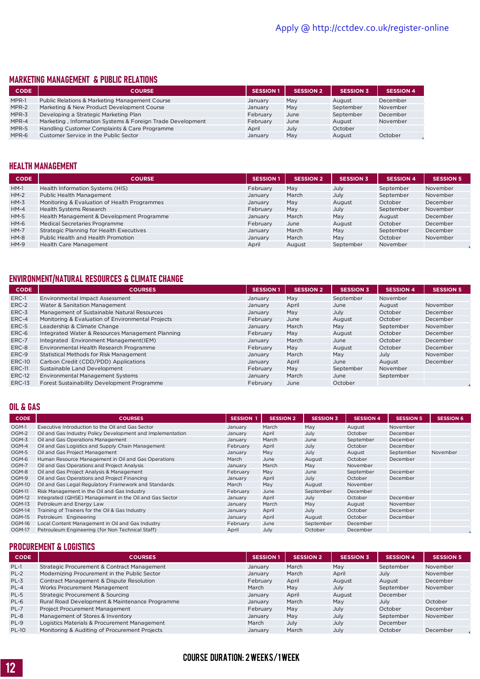#### MARKETING MANAGEMENT & PUBLIC RELATIONS

| <b>CODE</b> | <b>COURSE</b>                                              | <b>SESSION 1</b> | <b>SESSION 2</b> | <b>SESSION 3</b> | <b>SESSION 4</b> |
|-------------|------------------------------------------------------------|------------------|------------------|------------------|------------------|
| MPR-1       | Public Relations & Marketing Management Course             | January          | May              | August           | December         |
| MPR-2       | Marketing & New Product Development Course                 | January          | May              | September        | November         |
| MPR-3       | Developing a Strategic Marketing Plan                      | February         | June             | September        | December         |
| MPR-4       | Marketing, Information Systems & Foreign Trade Development | February         | June             | August           | November         |
| MPR-5       | Handling Customer Complaints & Care Programme              | April            | July             | October          |                  |
| MPR-6       | Customer Service in the Public Sector                      | January          | May              | August           | October          |

#### HEALTH MANAGEMENT

| <b>CODE</b> | <b>COURSE</b>                                | <b>SESSION 1</b> | <b>SESSION 2</b> | <b>SESSION 3</b> | <b>SESSION 4</b> | <b>SESSION 5</b> |
|-------------|----------------------------------------------|------------------|------------------|------------------|------------------|------------------|
| $HM-1$      | Health Information Systems (HIS)             | February         | May              | July             | September        | November         |
| $HM-2$      | Public Health Management                     | January          | March            | July             | September        | November         |
| $HM-3$      | Monitoring & Evaluation of Health Programmes | January          | May              | August           | October          | December         |
| $HM-4$      | Health Systems Research                      | February         | May              | July             | September        | November         |
| $HM-5$      | Health Management & Development Programme    | January          | March            | May              | August           | December         |
| $HM-6$      | Medical Secretaries Programme                | February         | June             | August           | October          | December         |
| $HM-7$      | Strategic Planning for Health Executives     | January          | March            | May              | September        | December         |
| $HM-8$      | Public Health and Health Promotion           | January          | March            | May              | October          | November         |
| $HM-9$      | <b>Health Care Management</b>                | April            | August           | September        | November         |                  |

#### ENVIRONMENT/NATURAL RESOURCES & CLIMATE CHANGE

| <b>CODE</b>   | <b>COURSES</b>                                    | <b>SESSION 1</b> | <b>SESSION 2</b> | <b>SESSION 3</b> | <b>SESSION 4</b> | <b>SESSION 5</b> |
|---------------|---------------------------------------------------|------------------|------------------|------------------|------------------|------------------|
| ERC-1         | Environmental Impact Assessment                   | January          | May              | September        | November         |                  |
| ERC-2         | Water & Sanitation Management                     | January          | April            | June             | August           | November         |
| ERC-3         | Management of Sustainable Natural Resources       | January          | May              | July             | October          | December         |
| ERC-4         | Monitoring & Evaluation of Environmental Projects | February         | June             | August           | October          | December         |
| ERC-5         | Leadership & Climate Change                       | January          | March            | May              | September        | November         |
| ERC-6         | Integrated Water & Resources Management Planning  | February         | May              | August           | October          | December         |
| ERC-7         | Integrated Environment Management(IEM)            | January          | March            | June             | October          | December         |
| ERC-8         | Environmental Health Research Programme           | February         | May              | August           | October          | December         |
| ERC-9         | <b>Statistical Methods for Risk Management</b>    | January          | March            | May              | July             | November         |
| <b>ERC-10</b> | Carbon Credit (CDD/PDD) Applications              | January          | April            | June             | August           | December         |
| <b>ERC-11</b> | Sustainable Land Development                      | February         | May              | September        | November         |                  |
| <b>ERC-12</b> | <b>Environmental Management Systems</b>           | January          | March            | June             | September        |                  |
| <b>ERC-13</b> | Forest Sustainability Development Programme       | February         | June             | October          |                  |                  |

#### OIL & GAS

| <b>CODE</b>   | <b>COURSES</b>                                             | <b>SESSION</b> | <b>SESSION 2</b> | <b>SESSION 3</b> | <b>SESSION 4</b> | <b>SESSION 5</b> | <b>SESSION 6</b> |
|---------------|------------------------------------------------------------|----------------|------------------|------------------|------------------|------------------|------------------|
| OGM-1         | Executive Introduction to the Oil and Gas Sector           | January        | March            | May              | August           | November         |                  |
| OGM-2         | Oil and Gas Industry Policy Development and Implementation | January        | April            | July             | October          | December         |                  |
| OGM-3         | Oil and Gas Operations Management                          | January        | March            | June             | September        | December         |                  |
| OGM-4         | Oil and Gas Logistics and Supply Chain Management          | February       | April            | July             | October          | December         |                  |
| OGM-5         | Oil and Gas Project Management                             | January        | May              | July             | August           | September        | November         |
| OGM-6         | Human Resource Management in Oil and Gas Operations        | March          | June             | August           | October          | December         |                  |
| OGM-7         | Oil and Gas Operations and Project Analysis                | January        | March            | May              | November         |                  |                  |
| OGM-8         | Oil and Gas Project Analysis & Management                  | February       | May              | June             | September        | December         |                  |
| OGM-9         | Oil and Gas Operations and Project Financing               | January        | April            | July             | October          | December         |                  |
| <b>OGM-10</b> | Oil and Gas Legal Regulatory Framework and Standards       | March          | May              | August           | November         |                  |                  |
| <b>OGM-11</b> | Risk Management in the Oil and Gas Industry                | February       | June             | September        | December         |                  |                  |
| OGM-12        | Integrated (QHSE) Management in the Oil and Gas Sector     | January        | April            | July             | October          | December         |                  |
| OGM-13        | Petroleum and Energy Law                                   | January        | March            | May              | August           | November         |                  |
| <b>OGM-14</b> | Training of Trainers for the Oil & Gas Industry            | January        | April            | July             | October          | December         |                  |
| OGM-15        | Petroleum Engineering                                      | January        | April            | August           | October          | December         |                  |
| OGM-16        | Local Content Management in Oil and Gas Industry           | February       | June             | September        | December         |                  |                  |
| <b>OGM-17</b> | Petrouleum Engineering (for Non Technical Staff)           | April          | July             | October          | December         |                  |                  |

#### PROCUREMENT & LOGISTICS

| <b>CODE</b>  | <b>COURSES</b>                                 | <b>SESSION 1</b> | <b>SESSION 2</b> | <b>SESSION 3</b> | <b>SESSION 4</b> | <b>SESSION 5</b> |
|--------------|------------------------------------------------|------------------|------------------|------------------|------------------|------------------|
| $PL-1$       | Strategic Procurement & Contract Management    | January          | March            | May              | September        | November         |
| $PL-2$       | Modernizing Procurement in the Public Sector   | January          | March            | April            | July             | November         |
| $PL-3$       | Contract Management & Dispute Resolution       | February         | April            | August           | August           | December         |
| $PL-4$       | Works Procurement Management                   | March            | May              | July             | September        | November         |
| PL-5         | Strategic Procurement & Sourcing               | January          | April            | August           | December         |                  |
| PL-6         | Rural Road Development & Maintenance Programme | January          | March            | May              | July             | October          |
| $PL-7$       | Project Procurement Management                 | February         | May              | July             | October          | December         |
| PL-8         | Management of Stores & Inventory               | January          | May              | July             | September        | November         |
| $PL-9$       | Logistics Materials & Procurement Management   | March            | July             | July             | December         |                  |
| <b>PL-10</b> | Monitoring & Auditing of Procurement Projects  | January          | March            | July             | October          | December         |

#### COURSE DURATION: 2 WEEKS/1 WEEK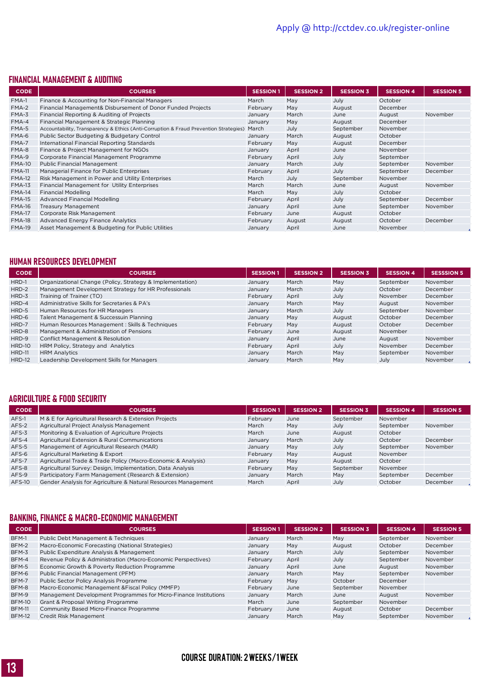#### FINANCIAL MANAGEMENT & AUDITING

| <b>CODE</b>   | <b>COURSES</b>                                                                        | <b>SESSION 1</b> | <b>SESSION 2</b> | <b>SESSION 3</b> | <b>SESSION 4</b> | <b>SESSION 5</b> |
|---------------|---------------------------------------------------------------------------------------|------------------|------------------|------------------|------------------|------------------|
| $FMA-1$       | Finance & Accounting for Non-Financial Managers                                       | March            | May              | July             | October          |                  |
| $FMA-2$       | Financial Management& Disbursement of Donor Funded Projects                           | February         | May              | August           | December         |                  |
| $FMA-3$       | Financial Reporting & Auditing of Projects                                            | January          | March            | June             | August           | November         |
| FMA-4         | Financial Management & Strategic Planning                                             | January          | May              | August           | December         |                  |
| FMA-5         | Accountability, Transparency & Ethics (Anti-Corruption & Fraud Prevention Strategies) | March            | July             | September        | November         |                  |
| FMA-6         | Public Sector Budgeting & Budgetary Control                                           | January          | March            | August           | October          |                  |
| FMA-7         | International Financial Reporting Standards                                           | February         | May              | August           | December         |                  |
| FMA-8         | Finance & Project Management for NGOs                                                 | January          | April            | June             | November         |                  |
| FMA-9         | Corporate Financial Management Programme                                              | February         | April            | July             | September        |                  |
| <b>FMA-10</b> | <b>Public Financial Management</b>                                                    | January          | March            | July             | September        | November         |
| <b>FMA-11</b> | Managerial Finance for Public Enterprises                                             | February         | April            | July             | September        | December         |
| <b>FMA-12</b> | Risk Management in Power and Utility Enterprises                                      | March            | July             | September        | November         |                  |
| <b>FMA-13</b> | Financial Management for Utility Enterprises                                          | March            | March            | June             | August           | November         |
| <b>FMA-14</b> | <b>Financial Modelling</b>                                                            | March            | May              | July             | October          |                  |
| <b>FMA-15</b> | <b>Advanced Financial Modelling</b>                                                   | February         | April            | July             | September        | December         |
| <b>FMA-16</b> | <b>Treasury Management</b>                                                            | January          | April            | June             | September        | November         |
| <b>FMA-17</b> | Corporate Risk Management                                                             | February         | June             | August           | October          |                  |
| <b>FMA-18</b> | Advanced Energy Finance Analytics                                                     | February         | August           | August           | October          | December         |
| <b>FMA-19</b> | Asset Management & Budgeting for Public Utilities                                     | January          | April            | June             | November         |                  |

#### HUMAN RESOURCES DEVELOPMENT

| <b>CODE</b>   | <b>COURSES</b>                                            | <b>SESSION 1</b> | <b>SESSION 2</b> | <b>SESSION 3</b> | <b>SESSION 4</b> | <b>SESSSION 5</b> |
|---------------|-----------------------------------------------------------|------------------|------------------|------------------|------------------|-------------------|
| HRD-1         | Organizational Change (Policy, Strategy & Implementation) | January          | March            | May              | September        | November          |
| HRD-2         | Management Development Strategy for HR Professionals      | January          | March            | July             | October          | December          |
| $HRD-3$       | Training of Trainer (TO)                                  | February         | April            | July             | November         | December          |
| HRD-4         | Administrative Skills for Secretaries & PA's              | January          | March            | May              | August           | November          |
| HRD-5         | Human Resources for HR Managers                           | January          | March            | July             | September        | November          |
| HRD-6         | Talent Management & Successuin Planning                   | January          | May              | August           | October          | December          |
| HRD-7         | Human Resources Management : Skills & Techniques          | February         | May              | August           | October          | December          |
| HRD-8         | Management & Administration of Pensions                   | February         | June             | August           | November         |                   |
| HRD-9         | <b>Conflict Management &amp; Resolution</b>               | January          | April            | June             | August           | November          |
| <b>HRD-10</b> | HRM Policy, Strategy and Analytics                        | February         | April            | July             | November         | December          |
| <b>HRD-11</b> | <b>HRM Analytics</b>                                      | January          | March            | May              | September        | November          |
| <b>HRD-12</b> | Leadership Development Skills for Managers                | January          | March            | May              | July             | November          |

#### AGRICULTURE & FOOD SECURITY

| <b>CODE</b>   | <b>COURSES</b>                                                 | <b>SESSION 1</b> | <b>SESSION 2</b> | <b>SESSION 3</b> | <b>SESSION 4</b> | <b>SESSION 5</b> |
|---------------|----------------------------------------------------------------|------------------|------------------|------------------|------------------|------------------|
| AFS-1         | M & E for Agricultural Research & Extension Projects           | February         | June             | September        | November         |                  |
| AFS-2         | Agricultural Project Analysis Management                       | March            | May              | July             | September        | November         |
| $AFS-3$       | Monitoring & Evaluation of Agriculture Projects                | March            | June             | August           | October          |                  |
| AFS-4         | Agricultural Extension & Rural Communications                  | January          | March            | July             | October          | December         |
| AFS-5         | Management of Agricultural Research (MAR)                      | January          | May              | July             | September        | November         |
| AFS-6         | Agricultural Marketing & Export                                | February         | May              | August           | November         |                  |
| AFS-7         | Agricultural Trade & Trade Policy (Macro-Economic & Analysis)  | January          | May              | August           | October          |                  |
| AFS-8         | Agricultural Survey: Design, Implementation, Data Analysis     | February         | May              | September        | November         |                  |
| AFS-9         | Participatory Farm Management (Research & Extension)           | January          | March            | May              | September        | December         |
| <b>AFS-10</b> | Gender Analysis for Agriculture & Natural Resources Management | March            | April            | July             | October          | December         |

#### BANKING, FINANCE & MACRO-ECONOMIC MANAGEMENT

| <b>CODE</b>   | <b>COURSES</b>                                                   | <b>SESSION 1</b> | <b>SESSION 2</b> | <b>SESSION 3</b> | <b>SESSION 4</b> | <b>SESSION 5</b> |
|---------------|------------------------------------------------------------------|------------------|------------------|------------------|------------------|------------------|
| BFM-1         | Public Debt Management & Techniques                              | January          | March            | May              | September        | November         |
| BFM-2         | Macro-Economic Forecasting (National Strategies)                 | January          | May              | August           | October          | December         |
| BFM-3         | Public Expenditure Analysis & Management                         | January          | March            | July             | September        | November         |
| BFM-4         | Revenue Policy & Administration (Macro-Economic Perspectives)    | February         | April            | July             | September        | November         |
| BFM-5         | Economic Growth & Poverty Reduction Programme                    | January          | April            | June             | August           | November         |
| BFM-6         | Public Financial Management (PFM)                                | January          | March            | May              | September        | November         |
| BFM-7         | Public Sector Policy Analysis Programme                          | February         | May              | October          | December         |                  |
| BFM-8         | Macro-Economic Management & Fiscal Policy (MMFP)                 | February         | June             | September        | November         |                  |
| BFM-9         | Management Development Programmes for Micro-Finance Institutions | January          | March            | June             | August           | November         |
| <b>BFM-10</b> | Grant & Proposal Writing Programme                               | March            | June             | September        | November         |                  |
| <b>BFM-11</b> | Community Based Micro-Finance Programme                          | February         | June             | August           | October          | December         |
| <b>BFM-12</b> | Credit Risk Management                                           | January          | March            | May              | September        | November         |

#### COURSE DURATION: 2 WEEKS/1 WEEK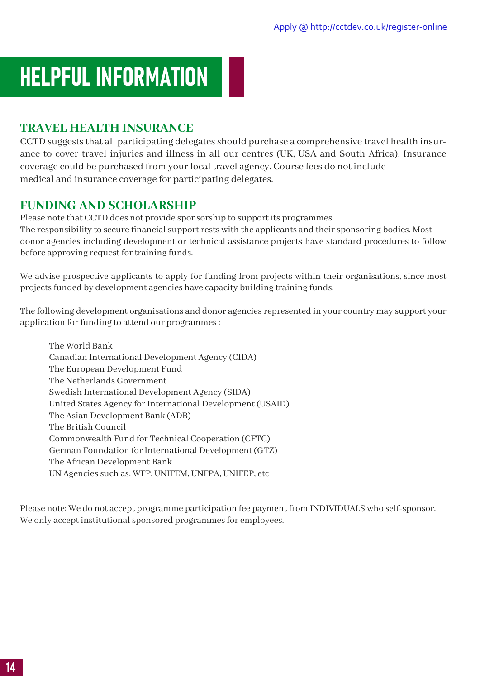### <span id="page-14-0"></span>HELPFUL INFORMATION

#### **TRAVEL HEALTH INSURANCE**

CCTD suggests that all participating delegates should purchase a comprehensive travel health insurance to cover travel injuries and illness in all our centres (UK, USA and South Africa). Insurance coverage could be purchased from your local travel agency. Course fees do not include medical and insurance coverage for participating delegates.

#### **FUNDING AND SCHOLARSHIP**

Please note that CCTD does not provide sponsorship to support its programmes. The responsibility to secure financial support rests with the applicants and their sponsoring bodies. Most donor agencies including development or technical assistance projects have standard procedures to follow before approving request for training funds.

We advise prospective applicants to apply for funding from projects within their organisations, since most projects funded by development agencies have capacity building training funds.

The following development organisations and donor agencies represented in your country may support your application for funding to attend our programmes :

The World Bank Canadian International Development Agency (CIDA) The European Development Fund The Netherlands Government Swedish International Development Agency (SIDA) United States Agency for International Development (USAID) The Asian Development Bank (ADB) The British Council Commonwealth Fund for Technical Cooperation (CFTC) German Foundation for International Development (GTZ) The African Development Bank UN Agencies such as: WFP, UNIFEM, UNFPA, UNIFEP, etc

Please note: We do not accept programme participation fee payment from INDIVIDUALS who self-sponsor. We only accept institutional sponsored programmes for employees.